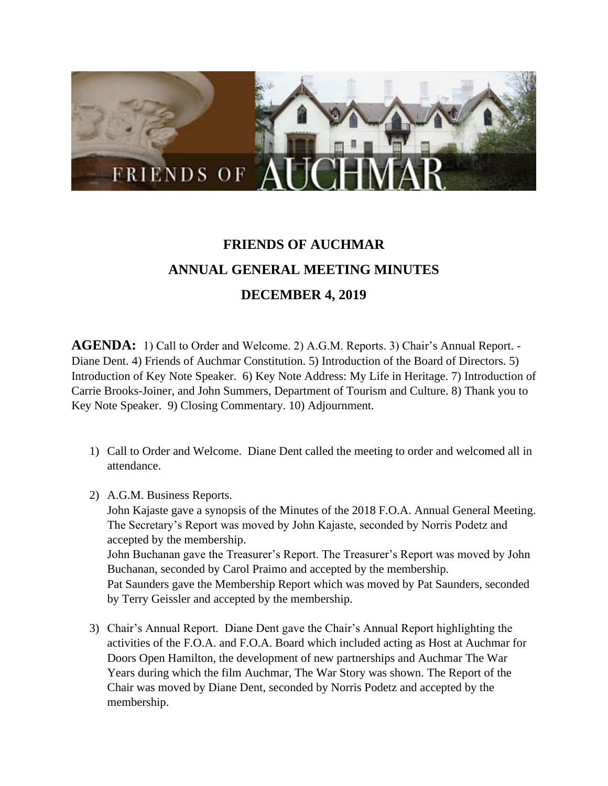

## **FRIENDS OF AUCHMAR ANNUAL GENERAL MEETING MINUTES DECEMBER 4, 2019**

**AGENDA:** 1) Call to Order and Welcome. 2) A.G.M. Reports. 3) Chair's Annual Report. - Diane Dent. 4) Friends of Auchmar Constitution. 5) Introduction of the Board of Directors. 5) Introduction of Key Note Speaker. 6) Key Note Address: My Life in Heritage. 7) Introduction of Carrie Brooks-Joiner, and John Summers, Department of Tourism and Culture. 8) Thank you to Key Note Speaker. 9) Closing Commentary. 10) Adjournment.

- 1) Call to Order and Welcome. Diane Dent called the meeting to order and welcomed all in attendance.
- 2) A.G.M. Business Reports.

John Kajaste gave a synopsis of the Minutes of the 2018 F.O.A. Annual General Meeting. The Secretary's Report was moved by John Kajaste, seconded by Norris Podetz and accepted by the membership. John Buchanan gave the Treasurer's Report. The Treasurer's Report was moved by John Buchanan, seconded by Carol Praimo and accepted by the membership. Pat Saunders gave the Membership Report which was moved by Pat Saunders, seconded

by Terry Geissler and accepted by the membership.

3) Chair's Annual Report. Diane Dent gave the Chair's Annual Report highlighting the activities of the F.O.A. and F.O.A. Board which included acting as Host at Auchmar for Doors Open Hamilton, the development of new partnerships and Auchmar The War Years during which the film Auchmar, The War Story was shown. The Report of the Chair was moved by Diane Dent, seconded by Norris Podetz and accepted by the membership.